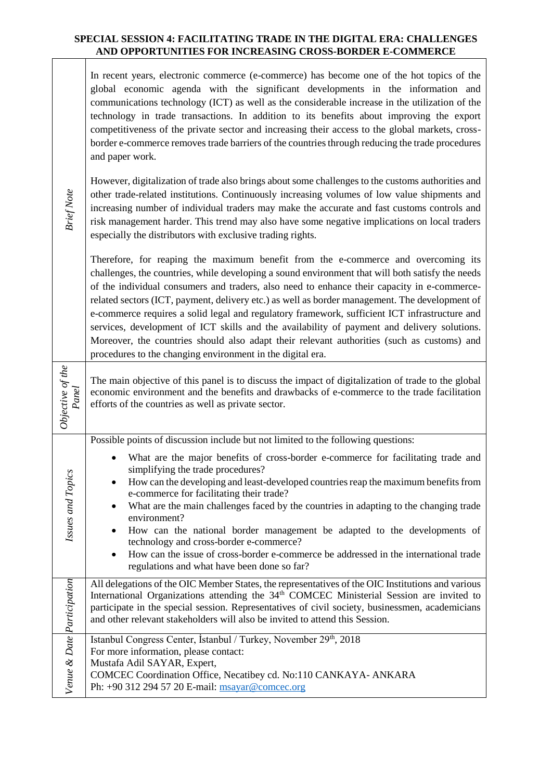## **SPECIAL SESSION 4: FACILITATING TRADE IN THE DIGITAL ERA: CHALLENGES AND OPPORTUNITIES FOR INCREASING CROSS-BORDER E-COMMERCE**

In recent years, electronic commerce (e-commerce) has become one of the hot topics of the global economic agenda with the significant developments in the information and communications technology (ICT) as well as the considerable increase in the utilization of the technology in trade transactions. In addition to its benefits about improving the export competitiveness of the private sector and increasing their access to the global markets, crossborder e-commerce removes trade barriers of the countries through reducing the trade procedures and paper work.

However, digitalization of trade also brings about some challenges to the customs authorities and other trade-related institutions. Continuously increasing volumes of low value shipments and increasing number of individual traders may make the accurate and fast customs controls and risk management harder. This trend may also have some negative implications on local traders especially the distributors with exclusive trading rights.

*Brief Note*

*Objective of the* 

Objective of the

*Issues and Topics*

ssues and Topics

Therefore, for reaping the maximum benefit from the e-commerce and overcoming its challenges, the countries, while developing a sound environment that will both satisfy the needs of the individual consumers and traders, also need to enhance their capacity in e-commercerelated sectors (ICT, payment, delivery etc.) as well as border management. The development of e-commerce requires a solid legal and regulatory framework, sufficient ICT infrastructure and services, development of ICT skills and the availability of payment and delivery solutions. Moreover, the countries should also adapt their relevant authorities (such as customs) and procedures to the changing environment in the digital era.

*Panel* The main objective of this panel is to discuss the impact of digitalization of trade to the global economic environment and the benefits and drawbacks of e-commerce to the trade facilitation efforts of the countries as well as private sector.

Possible points of discussion include but not limited to the following questions:

| What are the major benefits of cross-border e-commerce for facilitating trade and |  |  |  |
|-----------------------------------------------------------------------------------|--|--|--|
| simplifying the trade procedures?                                                 |  |  |  |
|                                                                                   |  |  |  |

- How can the developing and least-developed countries reap the maximum benefits from e-commerce for facilitating their trade?
	- What are the main challenges faced by the countries in adapting to the changing trade environment?
- How can the national border management be adapted to the developments of technology and cross-border e-commerce?
	- How can the issue of cross-border e-commerce be addressed in the international trade regulations and what have been done so far?

*Participation* All delegations of the OIC Member States, the representatives of the OIC Institutions and various International Organizations attending the 34<sup>th</sup> COMCEC Ministerial Session are invited to participate in the special session. Representatives of civil society, businessmen, academicians and other relevant stakeholders will also be invited to attend this Session.

| Date                             | Istanbul Congress Center, Istanbul / Turkey, November 29 <sup>th</sup> , 2018 |  |  |
|----------------------------------|-------------------------------------------------------------------------------|--|--|
|                                  | For more information, please contact:                                         |  |  |
| ಳ<br>Mustafa Adil SAYAR, Expert, |                                                                               |  |  |
| enue                             | COMCEC Coordination Office, Necatibey cd. No:110 CANKAYA- ANKARA              |  |  |
|                                  | Ph: +90 312 294 57 20 E-mail: msayar@comcec.org                               |  |  |
|                                  |                                                                               |  |  |